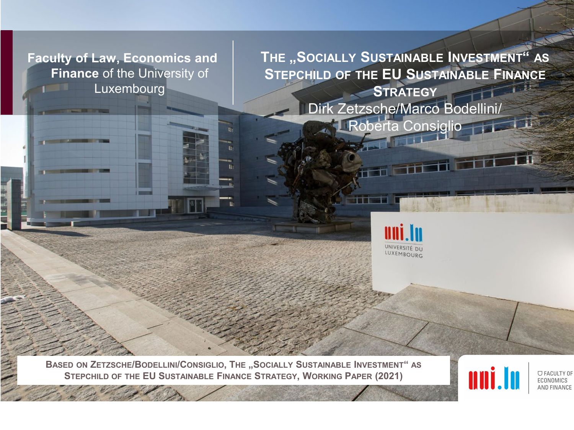**Faculty of Law, Economics and Finance** of the University of Luxembourg

**THE "SOCIALLY SUSTAINABLE INVESTMENT" AS STEPCHILD OF THE EU SUSTAINABLE FINANCE STRATEGY** Dirk Zetzsche/Marco Bodellini/ **Roberta Consiglio** 



**BASED ON ZETZSCHE/BODELLINI/CONSIGLIO, THE "SOCIALLY SUSTAINABLE INVESTMENT" AS STEPCHILD OF THE EU SUSTAINABLE FINANCE STRATEGY, WORKING PAPER (2021)**



**U FACULTY OF** ECONOMICS AND FINANCE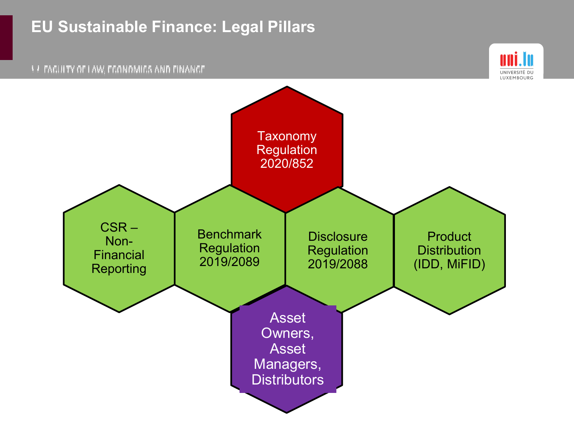#### **EU Sustainable Finance: Legal Pillars**



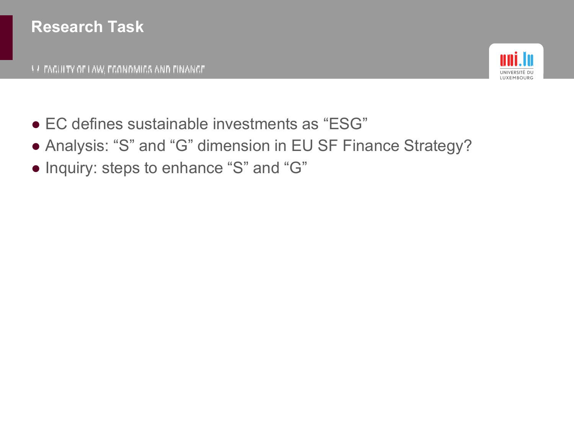

- EC defines sustainable investments as "ESG"
- Analysis: "S" and "G" dimension in EU SF Finance Strategy?
- Inquiry: steps to enhance "S" and "G"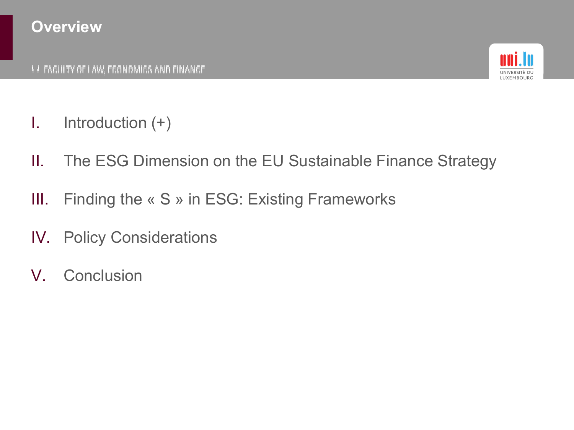

- I. Introduction (+)
- II. The ESG Dimension on the EU Sustainable Finance Strategy
- III. Finding the « S » in ESG: Existing Frameworks
- IV. Policy Considerations
- V. Conclusion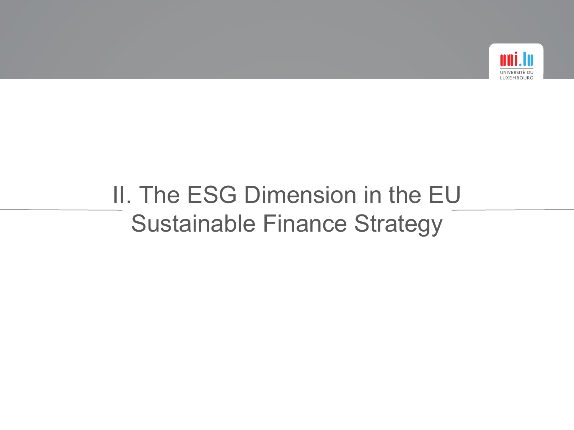

# II. The ESG Dimension in the EU Sustainable Finance Strategy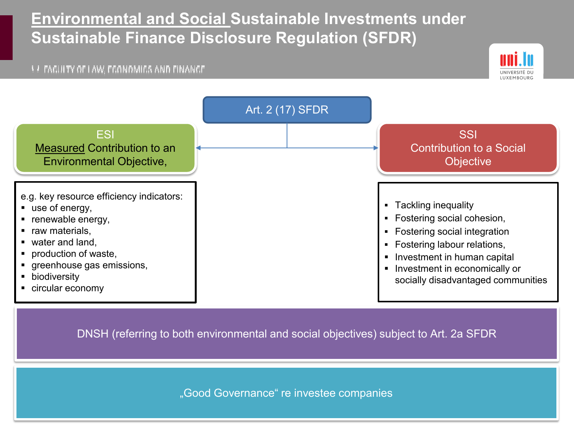#### **Environmental and Social Sustainable Investments under Sustainable Finance Disclosure Regulation (SFDR)**

#### **A FAGUITY OF LAW, FGONOMIGS AND FINANGE**





DNSH (referring to both environmental and social objectives) subject to Art. 2a SFDR

"Good Governance" re investee companies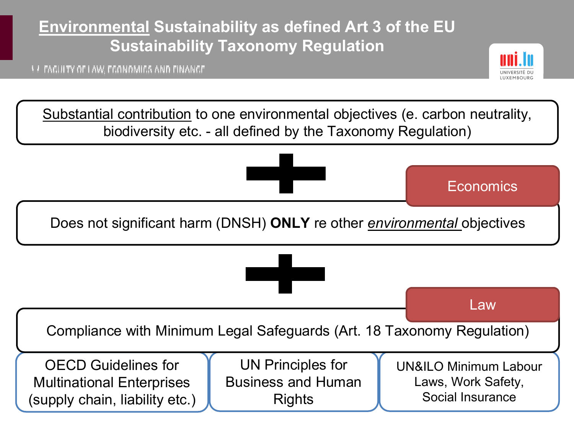### **Environmental Sustainability as defined Art 3 of the EU Sustainability Taxonomy Regulation**

**A FAGUITY OF LAW, FGONOMIGS AND FINANGE** 



Substantial contribution to one environmental objectives (e. carbon neutrality, biodiversity etc. - all defined by the Taxonomy Regulation)

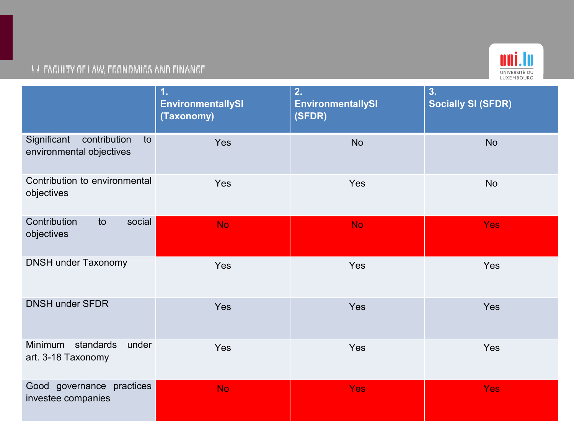#### uni.lu UNIVERSITÉ DU<br>LUXEMBOURG

|                                                               | 1.<br><b>EnvironmentallySI</b><br>(Taxonomy) | 2.<br><b>EnvironmentallySI</b><br>(SFDR) | 3.<br><b>Socially SI (SFDR)</b> |
|---------------------------------------------------------------|----------------------------------------------|------------------------------------------|---------------------------------|
| Significant<br>contribution<br>to<br>environmental objectives | Yes                                          | <b>No</b>                                | <b>No</b>                       |
| Contribution to environmental<br>objectives                   | Yes                                          | Yes                                      | <b>No</b>                       |
| Contribution<br>social<br>to<br>objectives                    | <b>No</b>                                    | <b>No</b>                                | <b>Yes</b>                      |
| <b>DNSH under Taxonomy</b>                                    | Yes                                          | Yes                                      | Yes                             |
| <b>DNSH under SFDR</b>                                        | Yes                                          | Yes                                      | Yes                             |
| standards<br>Minimum<br>under<br>art. 3-18 Taxonomy           | Yes                                          | Yes                                      | Yes                             |
| Good governance practices<br>investee companies               | <b>No</b>                                    | <b>Yes</b>                               | <b>Yes</b>                      |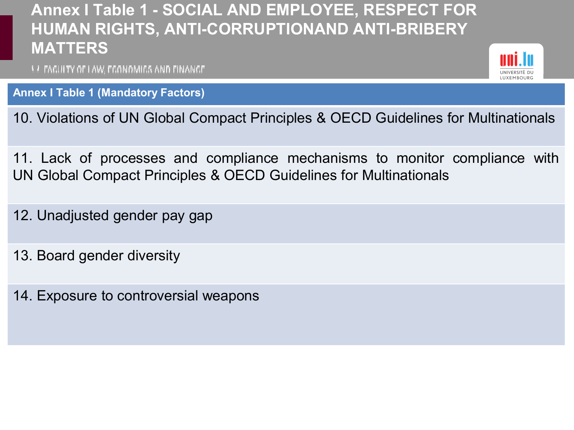#### **Annex I Table 1 - SOCIAL AND EMPLOYEE, RESPECT FOR HUMAN RIGHTS, ANTI-CORRUPTIONAND ANTI-BRIBERY MATTERS**

**A FAGUITY OF LAW, FGONOMIGS AND FINANGE** 

**Annex I Table 1 (Mandatory Factors)**

10. Violations of UN Global Compact Principles & OECD Guidelines for Multinationals

11. Lack of processes and compliance mechanisms to monitor compliance with UN Global Compact Principles & OECD Guidelines for Multinationals

12. Unadjusted gender pay gap

13. Board gender diversity

14. Exposure to controversial weapons

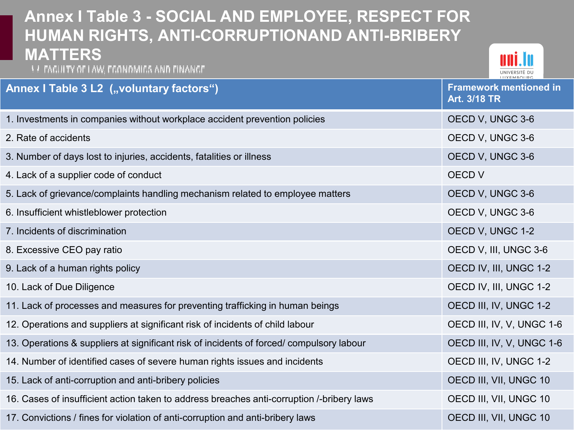#### **Annex I Table 3 - SOCIAL AND EMPLOYEE, RESPECT FOR HUMAN RIGHTS, ANTI-CORRUPTIONAND ANTI-BRIBERY MATTERS LE FAGUITY OF LAW, FGONOMIGS AND FINANGE Annex I Table 3 L2 ("voluntary factors") Framework mentioned in Art. 3/18 TR** 1. Investments in companies without workplace accident prevention policies OECD V, UNGC 3-6 2. Rate of accidents OECD V, UNGC 3-6 3. Number of days lost to injuries, accidents, fatalities or illness **OECD V**, UNGC 3-6 A. Lack of a supplier code of conduct and the conduction of the conduction of the conduction of the conduction of the conduction of the conduction of the conduction of the conduction of the conduction of the conduction of 5. Lack of grievance/complaints handling mechanism related to employee matters **OECD V, UNGC 3-6** 6. Insufficient whistleblower protection and the contraction of the contraction of the CD V, UNGC 3-6 7. Incidents of discrimination OECD V, UNGC 1-2 8. Excessive CEO pay ratio **EXCESSIVE CEO pay ratio** And the extra service of the extra service of the extra service of the extra service of the extra service of the extra service of the extra service of the extra service 9. Lack of a human rights policy OECD IV, III, UNGC 1-2 10. Lack of Due Diligence **OECD IV, III, UNGC 1-2** 11. Lack of processes and measures for preventing trafficking in human beings **OECD III, IV, UNGC 1-2** 12. Operations and suppliers at significant risk of incidents of child labour OECD III, IV, V, UNGC 1-6 13. Operations & suppliers at significant risk of incidents of forced/ compulsory labour OECD III, IV, V, UNGC 1-6 14. Number of identified cases of severe human rights issues and incidents **OECD III, IV, UNGC 1-2** 15. Lack of anti-corruption and anti-bribery policies **OECD III, VII, UNGC 10** 16. Cases of insufficient action taken to address breaches anti-corruption /-bribery laws OECD III, VII, UNGC 10 17. Convictions / fines for violation of anti-corruption and anti-bribery laws **OECD III, VII, UNGC 10**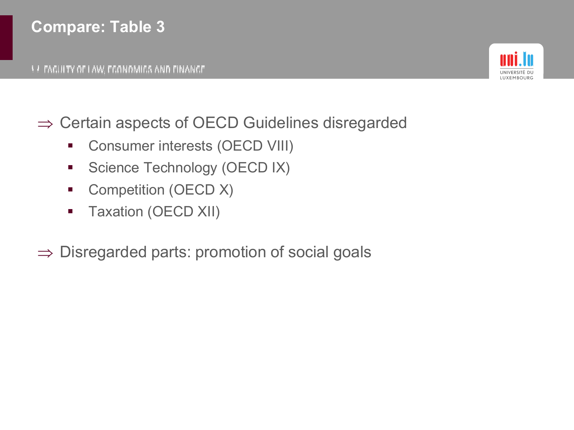#### **Compare: Table 3**



- ⇒ Certain aspects of OECD Guidelines disregarded
	- **Consumer interests (OECD VIII)**
	- **Science Technology (OECD IX)**
	- Competition (OECD X)
	- **Taxation (OECD XII)**
- ⇒ Disregarded parts: promotion of social goals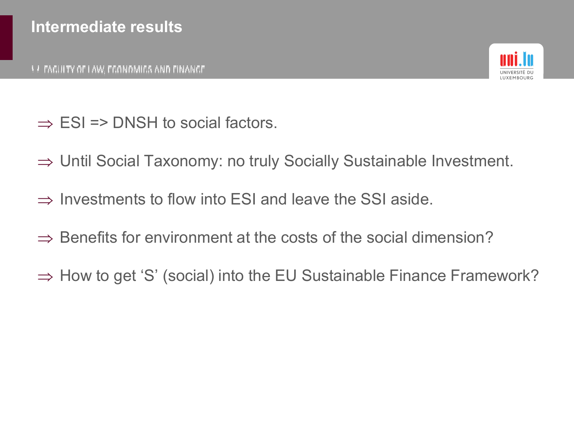

- $\Rightarrow$  ESI => DNSH to social factors.
- ⇒ Until Social Taxonomy: no truly Socially Sustainable Investment.
- $\Rightarrow$  Investments to flow into ESI and leave the SSI aside.
- $\Rightarrow$  Benefits for environment at the costs of the social dimension?
- ⇒ How to get 'S' (social) into the EU Sustainable Finance Framework?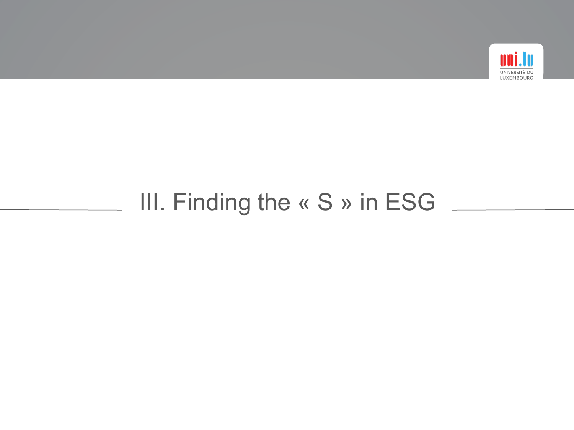

### III. Finding the « S » in ESG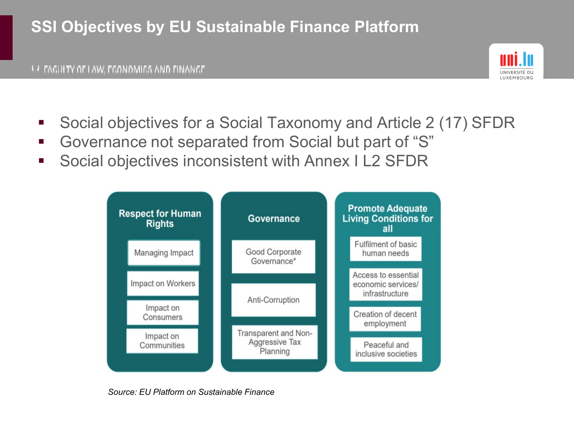### **SSI Objectives by EU Sustainable Finance Platform**



- Social objectives for a Social Taxonomy and Article 2 (17) SFDR
- Governance not separated from Social but part of "S"
- Social objectives inconsistent with Annex I L2 SFDR



*Source: EU Platform on Sustainable Finance*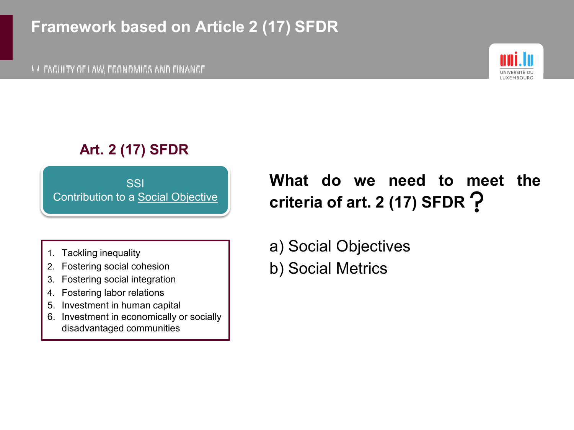#### **Framework based on Article 2 (17) SFDR**

**A FAGUITY OF LAW, FGONOMIGS AND FINANGE** 



#### **Art. 2 (17) SFDR**

**SSI** Contribution to a Social Objective

- 1. Tackling inequality
- 2. Fostering social cohesion
- 3. Fostering social integration
- 4. Fostering labor relations
- 5. Investment in human capital
- 6. Investment in economically or socially disadvantaged communities

**What do we need to meet the criteria of art. 2 (17) SFDR**

- a) Social Objectives
- b) Social Metrics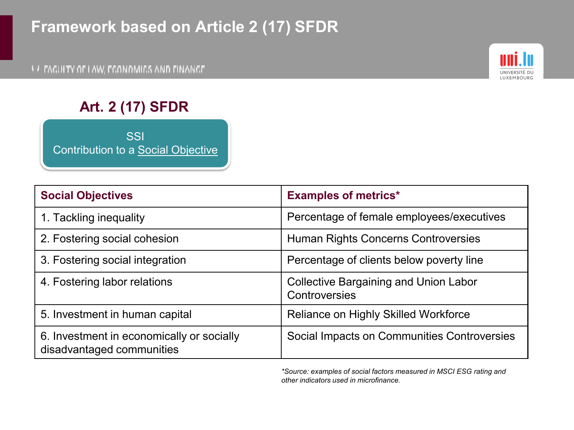### **Framework based on Article 2 (17) SFDR**



#### **Art. 2 (17) SFDR**

**SSI** Contribution to a Social Objective

| <b>Social Objectives</b>                                               | <b>Examples of metrics*</b>                                          |
|------------------------------------------------------------------------|----------------------------------------------------------------------|
| 1. Tackling inequality                                                 | Percentage of female employees/executives                            |
| 2. Fostering social cohesion                                           | Human Rights Concerns Controversies                                  |
| 3. Fostering social integration                                        | Percentage of clients below poverty line                             |
| 4. Fostering labor relations                                           | <b>Collective Bargaining and Union Labor</b><br><b>Controversies</b> |
| 5. Investment in human capital                                         | <b>Reliance on Highly Skilled Workforce</b>                          |
| 6. Investment in economically or socially<br>disadvantaged communities | Social Impacts on Communities Controversies                          |

*\*Source: examples of social factors measured in MSCI ESG rating and other indicators used in microfinance.*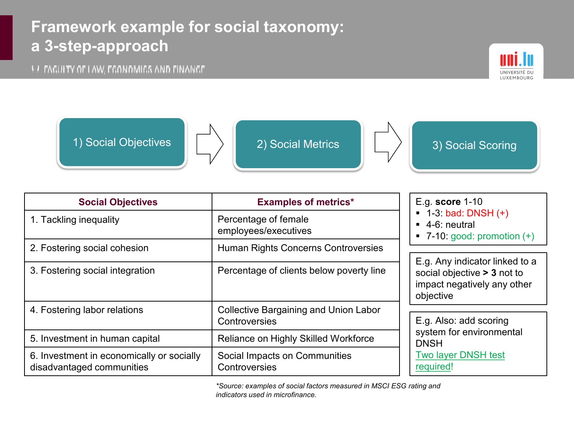### **Framework example for social taxonomy: a 3-step-approach**

**A FAGUITY OF LAW, FGONOMIGS AND FINANGE** 



1) Social Objectives **2) Social Metrics** 2) Social Metrics 3) Social Scoring





| <b>Social Objectives</b>                                               | <b>Examples of metrics*</b>                                   | E.g. score 1-10<br>$\blacksquare$ 1-3: bad: DNSH (+)<br>$\blacksquare$ 4-6: neutral<br>■ 7-10: good: promotion $(+)$ |
|------------------------------------------------------------------------|---------------------------------------------------------------|----------------------------------------------------------------------------------------------------------------------|
| 1. Tackling inequality                                                 | Percentage of female<br>employees/executives                  |                                                                                                                      |
| 2. Fostering social cohesion                                           | Human Rights Concerns Controversies                           |                                                                                                                      |
| 3. Fostering social integration                                        | Percentage of clients below poverty line                      | E.g. Any indicator linked to a<br>social objective > 3 not to<br>impact negatively any other<br>objective            |
| 4. Fostering labor relations                                           | <b>Collective Bargaining and Union Labor</b><br>Controversies | E.g. Also: add scoring<br>system for environmental<br><b>DNSH</b><br><b>Two layer DNSH test</b><br>required!         |
| 5. Investment in human capital                                         | Reliance on Highly Skilled Workforce                          |                                                                                                                      |
| 6. Investment in economically or socially<br>disadvantaged communities | Social Impacts on Communities<br>Controversies                |                                                                                                                      |

*\*Source: examples of social factors measured in MSCI ESG rating and indicators used in microfinance.*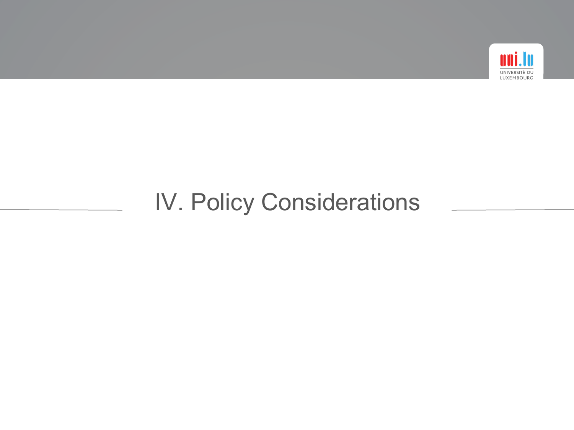

# IV. Policy Considerations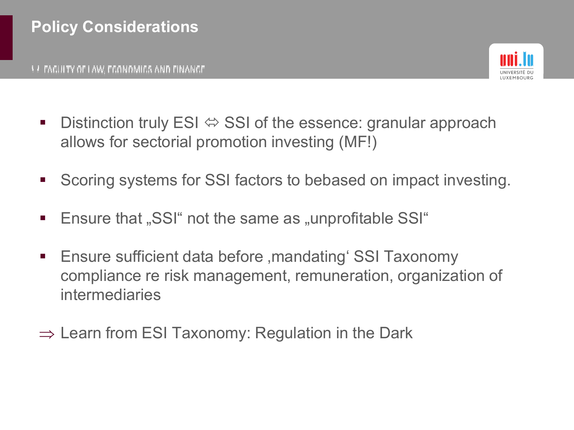

- Distinction truly ESI  $\Leftrightarrow$  SSI of the essence: granular approach allows for sectorial promotion investing (MF!)
- Scoring systems for SSI factors to bebased on impact investing.
- Ensure that "SSI" not the same as "unprofitable SSI"
- **Ensure sufficient data before , mandating' SSI Taxonomy** compliance re risk management, remuneration, organization of intermediaries
- $\Rightarrow$  Learn from ESI Taxonomy: Regulation in the Dark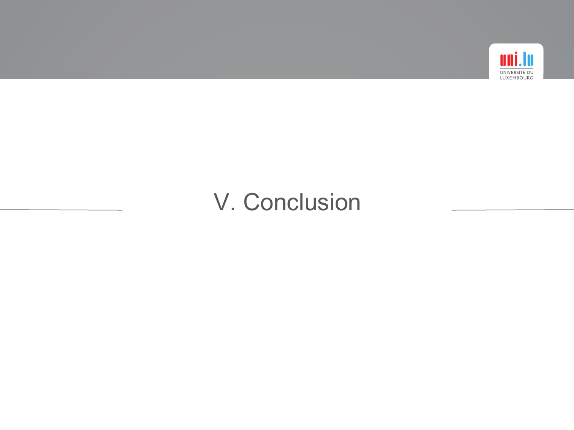

### V. Conclusion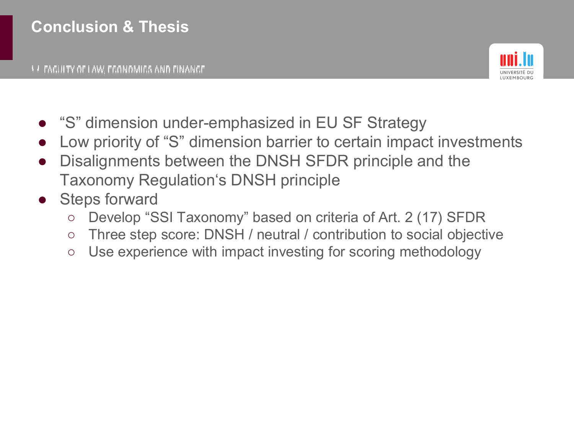

- "S" dimension under-emphasized in EU SF Strategy
- Low priority of "S" dimension barrier to certain impact investments
- Disalignments between the DNSH SFDR principle and the Taxonomy Regulation's DNSH principle
- Steps forward
	- Develop "SSI Taxonomy" based on criteria of Art. 2 (17) SFDR
	- Three step score: DNSH / neutral / contribution to social objective
	- Use experience with impact investing for scoring methodology